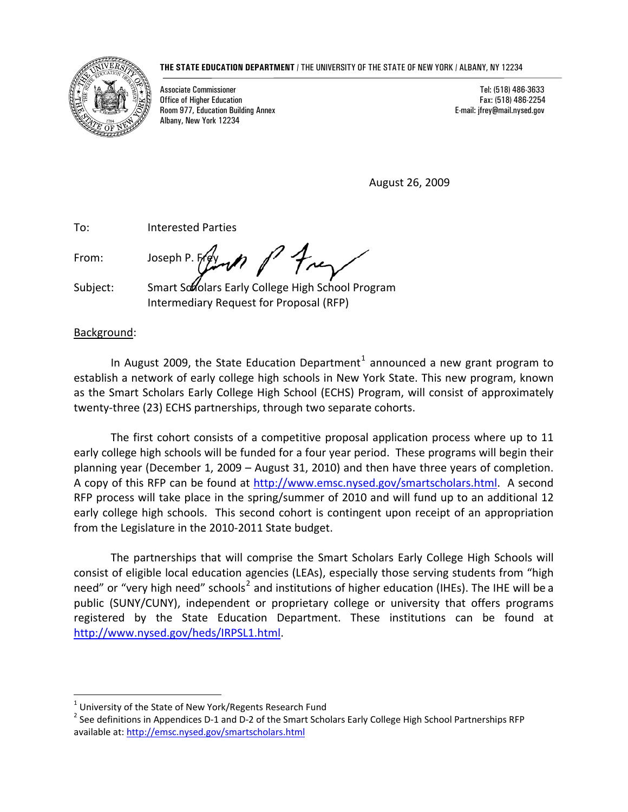#### **THE STATE EDUCATION DEPARTMENT** / THE UNIVERSITY OF THE STATE OF NEW YORK / ALBANY, NY 12234



Associate Commissioner Tel: (518) 486-3633 **Office of Higher Education** Room 977, Education Building Annex E-mail: jfrey@mail.nysed.gov Albany, New York 12234

August 26, 2009

To: Interested Parties

 $\overline{a}$ 

From: Joseph P. French  $P$  freq

Subject: Smart Scholars Early College High School Program Intermediary Request for Proposal (RFP)

# Background:

In August 2009, the State Education Department<sup>[1](#page-0-0)</sup> announced a new grant program to establish a network of early college high schools in New York State. This new program, known as the Smart Scholars Early College High School (ECHS) Program, will consist of approximately twenty-three (23) ECHS partnerships, through two separate cohorts.

The first cohort consists of a competitive proposal application process where up to 11 early college high schools will be funded for a four year period. These programs will begin their planning year (December 1, 2009 – August 31, 2010) and then have three years of completion. A copy of this RFP can be found at [http://www.emsc.nysed.gov/smartscholars.html.](http://www.emsc.nysed.gov/smartscholars.html) A second RFP process will take place in the spring/summer of 2010 and will fund up to an additional 12 early college high schools. This second cohort is contingent upon receipt of an appropriation from the Legislature in the 2010‐2011 State budget.

The partnerships that will comprise the Smart Scholars Early College High Schools will consist of eligible local education agencies (LEAs), especially those serving students from "high need" or "very high need" schools<sup>[2](#page-0-1)</sup> and institutions of higher education (IHEs). The IHE will be a public (SUNY/CUNY), independent or proprietary college or university that offers programs registered by the State Education Department. These institutions can be found at [http://www.nysed.gov/heds/IRPSL1.html.](http://www.nysed.gov/heds/IRPSL1.html)

<span id="page-0-1"></span><span id="page-0-0"></span><sup>&</sup>lt;sup>1</sup> University of the State of New York/Regents Research Fund<br><sup>2</sup> See definitions in Appendices D-1 and D-2 of the Smart Scholars Early College High School Partnerships RFP available at: <http://emsc.nysed.gov/smartscholars.html>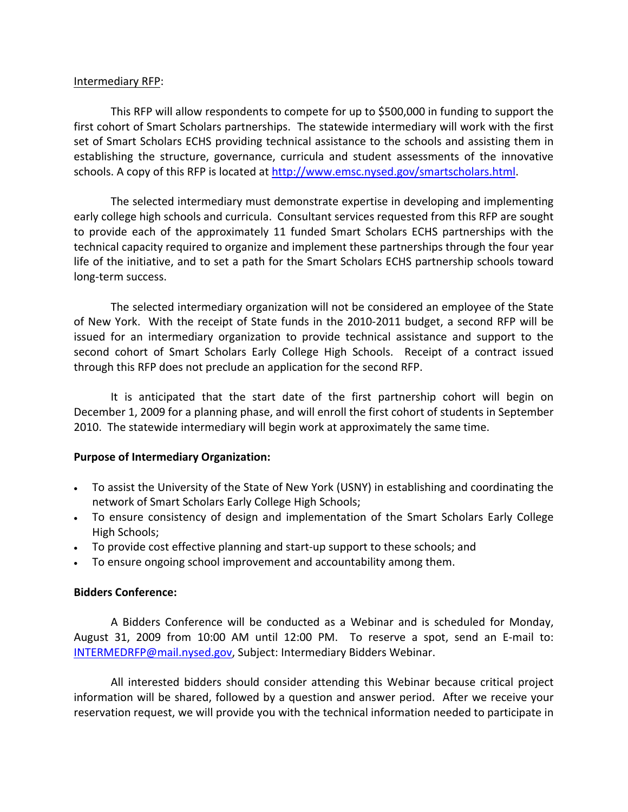#### Intermediary RFP:

This RFP will allow respondents to compete for up to \$500,000 in funding to support the first cohort of Smart Scholars partnerships. The statewide intermediary will work with the first set of Smart Scholars ECHS providing technical assistance to the schools and assisting them in establishing the structure, governance, curricula and student assessments of the innovative schools. A copy of this RFP is located at [http://www.emsc.nysed.gov/smartscholars.html.](http://www.emsc.nysed.gov/smartscholars.html)

The selected intermediary must demonstrate expertise in developing and implementing early college high schools and curricula. Consultant services requested from this RFP are sought to provide each of the approximately 11 funded Smart Scholars ECHS partnerships with the technical capacity required to organize and implement these partnerships through the four year life of the initiative, and to set a path for the Smart Scholars ECHS partnership schools toward long‐term success.

The selected intermediary organization will not be considered an employee of the State of New York. With the receipt of State funds in the 2010‐2011 budget, a second RFP will be issued for an intermediary organization to provide technical assistance and support to the second cohort of Smart Scholars Early College High Schools. Receipt of a contract issued through this RFP does not preclude an application for the second RFP.

It is anticipated that the start date of the first partnership cohort will begin on December 1, 2009 for a planning phase, and will enroll the first cohort of students in September 2010. The statewide intermediary will begin work at approximately the same time.

# **Purpose of Intermediary Organization:**

- To assist the University of the State of New York (USNY) in establishing and coordinating the network of Smart Scholars Early College High Schools;
- To ensure consistency of design and implementation of the Smart Scholars Early College High Schools;
- To provide cost effective planning and start-up support to these schools; and
- To ensure ongoing school improvement and accountability among them.

# **Bidders Conference:**

A Bidders Conference will be conducted as a Webinar and is scheduled for Monday, August 31, 2009 from 10:00 AM until 12:00 PM. To reserve a spot, send an E-mail to: [INTERMEDRFP@mail.nysed.gov](mailto:INTERMEDRFP@mail.nysed.gov), Subject: Intermediary Bidders Webinar.

All interested bidders should consider attending this Webinar because critical project information will be shared, followed by a question and answer period. After we receive your reservation request, we will provide you with the technical information needed to participate in